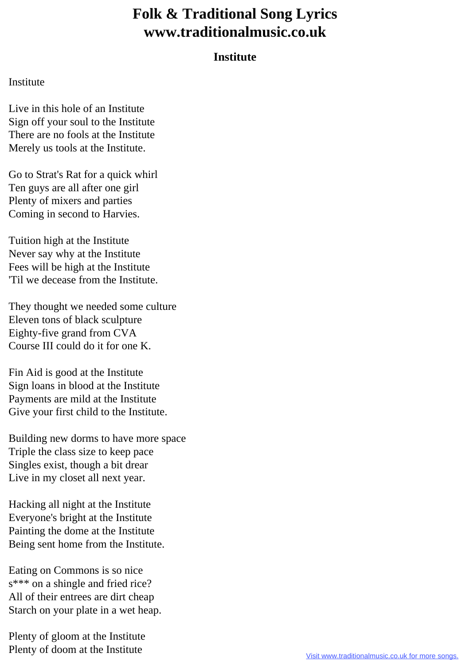## **Folk & Traditional Song Lyrics www.traditionalmusic.co.uk**

## **Institute**

## Institute

Live in this hole of an Institute Sign off your soul to the Institute There are no fools at the Institute Merely us tools at the Institute.

Go to Strat's Rat for a quick whirl Ten guys are all after one girl Plenty of mixers and parties Coming in second to Harvies.

Tuition high at the Institute Never say why at the Institute Fees will be high at the Institute 'Til we decease from the Institute.

They thought we needed some culture Eleven tons of black sculpture Eighty-five grand from CVA Course III could do it for one K.

Fin Aid is good at the Institute Sign loans in blood at the Institute Payments are mild at the Institute Give your first child to the Institute.

Building new dorms to have more space Triple the class size to keep pace Singles exist, though a bit drear Live in my closet all next year.

Hacking all night at the Institute Everyone's bright at the Institute Painting the dome at the Institute Being sent home from the Institute.

Eating on Commons is so nice s\*\*\* on a shingle and fried rice? All of their entrees are dirt cheap Starch on your plate in a wet heap.

Plenty of gloom at the Institute Plenty of doom at the Institute